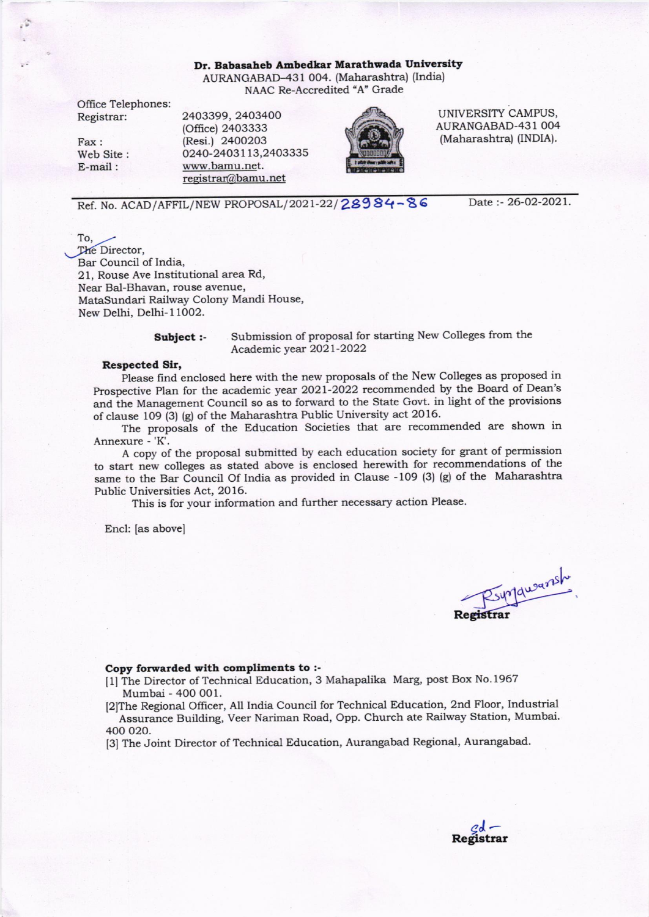### Dr. Babasaheb Ambedkar Marathwada University AURANGABAD-431 004. (Maharashtra) (India) NAAC Re-Accredited "A" Grade

Office Telephones: Registrar:

Fax : Web Site : E-mail:

2403399,2403400 (Otfice) 2403333 (Resi.) 24O0203 0240-24031 13,2403335 www.bamu.net. registrar@bamu.net



UNIVERSITY CAMPUS, AURANGABAD.431 OO4 (Maharashtra) (INDIA).

Ref. No. ACAD/ AFFIL/ NEW PROPOSAL/ 2021-22/ 28984-86 Date:-26-02-2021.

To, 10,<br>The Director, Bar Council of India, 21, Rouse Ave Institutional area Rd, Near Bal-Bhavan, rouse avenue, MataSundari Railway Colony Mandi House, New Delhi, Delhi- I 1002.

Subject :- Submission of proposal for starting New Colleges from the Academic year 2021-2022

### Respected Sir,

Please frnd enclosed here with the new proposals of the New Colleges as proposed in prospective Plan for the academic year 2o2l-2o22 recommended by the Board of Dean's and the Management Council so as to forward to the State Govt. in light of the provisions of clause 109 (3) (g) of the Maharashtra Public University act 2016-

The proposals of the Education Societies that are recommended are shown in Annexure - 'K'.

A copy of the proposal submitted by each education society for grant of permission to start new colleges as stated above is enclosed herewith for recommendations of the same to the Bar Council Of India as provided in Clause -109 (3) (g) of the Maharashtra Public Universities Act, 20 16.

This is for your information and further necessary action Please.

Encl: [as above]

Rsynjqueansh **Registrar** 

## Copy forwarded with compliments to :-

[1] The Director of Technical Education, 3 Mahapalika Marg, post Box No.1967 Mumbai - 400 O01.

[2]The Regional Oflicer, AII India Council for Technical Education, 2nd Floor, Industrial Assurance Building, Veer Nariman Road, Opp. Church ate Railway Station, Mumbai. 400 020.

[3] The Joint Director of Technical Education, Aurangabad Regional, Aurangabad.

 $\frac{d}{d}$ Registrar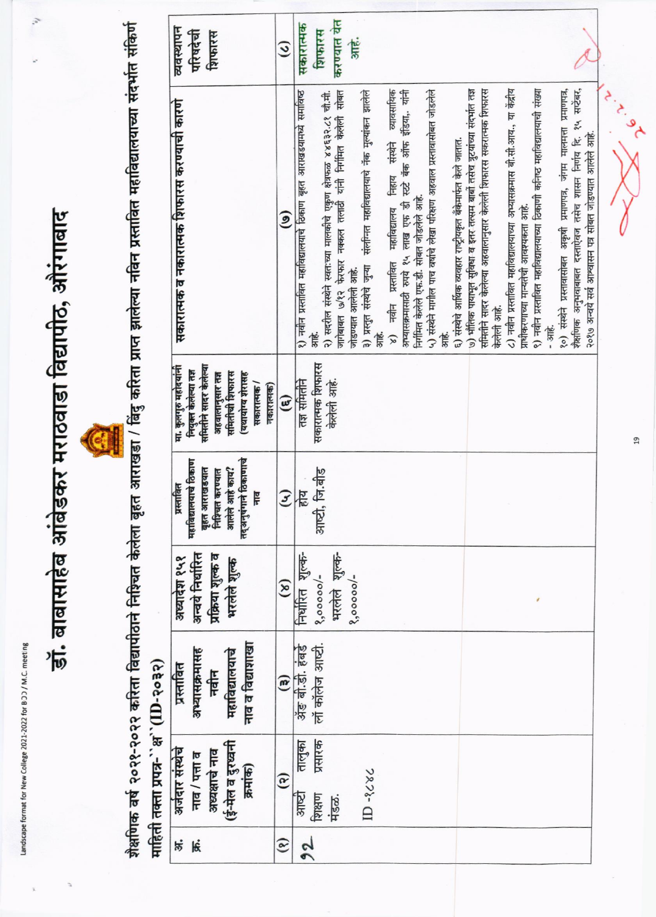Landscape format for New College 2021-2022 for BOD / M.C. meeting

# डॉ. बाबासाहेब आंबेडकर मराठवाडा विद्यापीठ, औरंगाबाद



शैक्षणिक वर्ष २०२१-२०२२ करिता विद्यापीठाने निश्चित केलेला बृहत आराखडा / बिंदु करिता प्राप्ते नविन प्रस्तावित महाविद्यालयाच्या संदर्भात संकिर्ण माहिती तक्ता प्रपत्र-``क्ष``(ID-२०३२)

| व्यवस्थापन<br>परिषदेची<br>शिफारस                                                                                                                             | $\mathcal{Q}$          | करण्यात यत<br>सकारात्मक<br>शिफारस<br>高                                                                                                                                                                                                                                                                                                                                                                                                                                                                                                                                                                                                                                                                                                                                                                                                                                                                                                                                                                                           |                                                                                                                                                                                                     |
|--------------------------------------------------------------------------------------------------------------------------------------------------------------|------------------------|----------------------------------------------------------------------------------------------------------------------------------------------------------------------------------------------------------------------------------------------------------------------------------------------------------------------------------------------------------------------------------------------------------------------------------------------------------------------------------------------------------------------------------------------------------------------------------------------------------------------------------------------------------------------------------------------------------------------------------------------------------------------------------------------------------------------------------------------------------------------------------------------------------------------------------------------------------------------------------------------------------------------------------|-----------------------------------------------------------------------------------------------------------------------------------------------------------------------------------------------------|
| सकारात्मक व नकारात्मक शिफारस करण्याची कारणे                                                                                                                  | $\widehat{S}$          | समितीने सादर केलेल्या अहवालानुसार केलेली शिफारस सकरात्मक शिफारस<br>८) नवीन प्रस्तावित महाविद्यालयाच्या अभ्यासक्रमास बी.सी.आय., या केंद्रीय<br>९) नवीन प्रस्तावित महाविद्यालयाच्या ठिकाणी कनिष्ठ महाविद्यालयाची संख्या<br>व्यावसायिक<br>५) संस्थेने मागील पाच वर्षाचे लेखा परिक्षण अहवाल प्रस्तावासीबत जोडलेले<br>७) भौतिक पायाभूत सुविधा व इतर तत्सम बाबों तसेच त्रुटयांच्या संदर्भात तज्ञ<br>३) प्रस्तुत संस्थेचे जुन्या संलग्नित महाविद्यालयाचे नॅक मुल्यांकन झालेले<br>अभ्यासक्रमासाठी रुपये १५ लाख एफ डी स्टटे बॅक ऑफ इंडिया यांनी<br>२) सदरील संस्थेने स्वतःच्या मालकीचे एकुण क्षेत्रफळ ४४६३२.८१ चौ.मी.<br>जागेबाबत ७/१२ फेरफार नक्कल तलाठी यांनी निर्गमित केलेली सोबत<br>१) नवीन प्रस्तावित महाविद्यालयाचे ठिकाण बृहत आराखडयामध्ये समाविष्ठ<br>६) संस्थेचे आर्थिक व्यवहार राष्ट्रीयकृत बँकेमार्फत केले जातात.<br>निहाय संस्थेने<br>निर्गमित केलेले एफ.डी. सोबत जोडलेले आहे.<br>प्राधीकरणाच्या मान्यतेची आवश्यकता आहे.<br>महाविद्यालय<br>४) नवीन प्रस्तावित<br>जोडण्यात आलेली आहे.<br>केलेली आहे.<br>· 3HE -<br>焉<br>篇<br>嶌 | १०) संस्थेने प्रस्तावासोबत अकृषी प्रमाणपत्र, जंगम मालमत्ता प्रमाणपत्र,<br>शैक्षणिक अनुभवाबाबत दस्ताऐवज तसेच शासन निर्णय दि. १५ सप्टेंबर,<br>२०१७ अन्वर्य सर्व आश्वासन पत्र सोबत जोडण्यात आलेले आहे. |
| समितीने सादर केलेल्या<br>मा. कुलगुरु महोदयांनी<br>नियुक्त केलेल्या तज्ञ<br>समितीची शिफारस<br>(यथायोग्य शेरासह<br>अहवालानसार तज्ञ<br>सकारात्मक/<br>नकारात्मक) | $\mathbf{G}$           | सकारात्मक शिफारस<br>केलेली आहे.<br>तज्ञ समितीने                                                                                                                                                                                                                                                                                                                                                                                                                                                                                                                                                                                                                                                                                                                                                                                                                                                                                                                                                                                  |                                                                                                                                                                                                     |
| तद्अनुषंगाने ठिकाणाचे<br>महाविद्यालयाचे ठिकाण<br>आलेले आहे काय?<br>बृहत आराखडयात<br>निश्चित करण्यात<br>प्रस्तावित<br>류                                       | $\tilde{\mathcal{Z}}$  | आष्टी, जि.बीड<br>होय                                                                                                                                                                                                                                                                                                                                                                                                                                                                                                                                                                                                                                                                                                                                                                                                                                                                                                                                                                                                             |                                                                                                                                                                                                     |
| अन्वये निर्धारित<br>प्रक्रिया शुल्क व<br>अध्यादेश १५१<br>भरलेले शुल्क                                                                                        | $\mathbf{S}$           | भरलेले शुल्क-<br>निर्धारित शुल्क-<br>$8,00000/-$<br>$8,00000/-$                                                                                                                                                                                                                                                                                                                                                                                                                                                                                                                                                                                                                                                                                                                                                                                                                                                                                                                                                                  |                                                                                                                                                                                                     |
| नाव व विद्याशाखा<br>अभ्यासक्रमासह<br>महाविद्यालयाचे<br>प्रस्तावित<br>नवीन                                                                                    | $\mathbf{e}$           | लों कॉलेज आष्टी.<br>अँड बी.डी. हंबर्ड                                                                                                                                                                                                                                                                                                                                                                                                                                                                                                                                                                                                                                                                                                                                                                                                                                                                                                                                                                                            |                                                                                                                                                                                                     |
| (ई-मेल व दुरध्वनी<br>अजंदार संस्थेचे<br>अध्यक्षाचे नाव<br>नाव / पत्ता व<br>क्रमांक)                                                                          | $\widehat{\mathbf{e}}$ | प्रसारक<br>तालुका<br>$D - 3686$<br>आष्टी<br>शिक्षण<br>मंडळ.                                                                                                                                                                                                                                                                                                                                                                                                                                                                                                                                                                                                                                                                                                                                                                                                                                                                                                                                                                      |                                                                                                                                                                                                     |
| ゟ<br>候                                                                                                                                                       | $\mathbf{e}$           | 2 <sup>o</sup>                                                                                                                                                                                                                                                                                                                                                                                                                                                                                                                                                                                                                                                                                                                                                                                                                                                                                                                                                                                                                   |                                                                                                                                                                                                     |

 $\overline{a}$